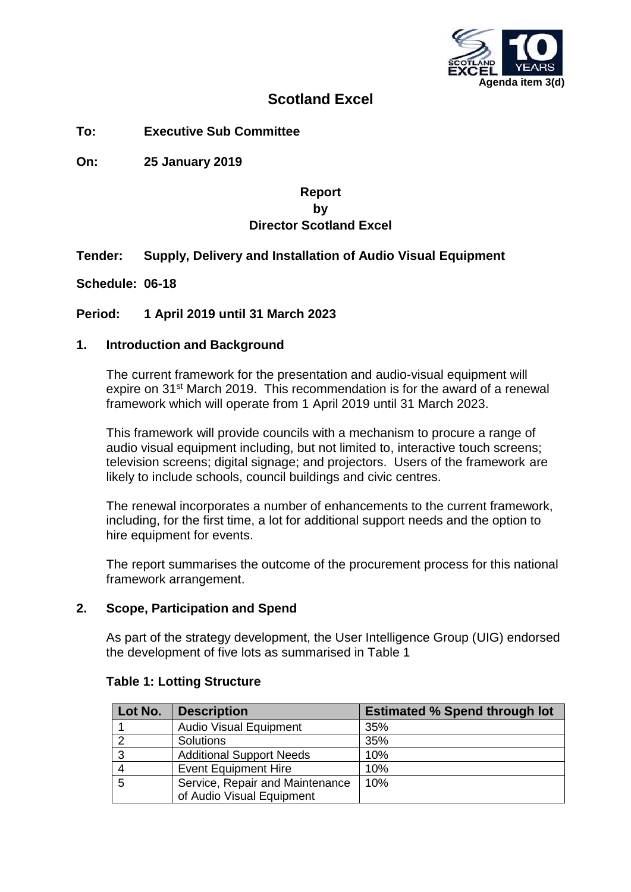

## **Scotland Excel**

**To: Executive Sub Committee**

**On: 25 January 2019**

## **Report by Director Scotland Excel**

## **Tender: Supply, Delivery and Installation of Audio Visual Equipment**

**Schedule: 06-18**

## **Period: 1 April 2019 until 31 March 2023**

#### **1. Introduction and Background**

The current framework for the presentation and audio-visual equipment will expire on 31<sup>st</sup> March 2019. This recommendation is for the award of a renewal framework which will operate from 1 April 2019 until 31 March 2023.

This framework will provide councils with a mechanism to procure a range of audio visual equipment including, but not limited to, interactive touch screens; television screens; digital signage; and projectors. Users of the framework are likely to include schools, council buildings and civic centres.

The renewal incorporates a number of enhancements to the current framework, including, for the first time, a lot for additional support needs and the option to hire equipment for events.

The report summarises the outcome of the procurement process for this national framework arrangement.

#### **2. Scope, Participation and Spend**

As part of the strategy development, the User Intelligence Group (UIG) endorsed the development of five lots as summarised in Table 1

| Lot No. | <b>Description</b>              | <b>Estimated % Spend through lot</b> |
|---------|---------------------------------|--------------------------------------|
|         | <b>Audio Visual Equipment</b>   | 35%                                  |
|         | <b>Solutions</b>                | 35%                                  |
| 3       | <b>Additional Support Needs</b> | 10%                                  |
|         | <b>Event Equipment Hire</b>     | 10%                                  |
|         | Service, Repair and Maintenance | 10%                                  |
|         | of Audio Visual Equipment       |                                      |

#### **Table 1: Lotting Structure**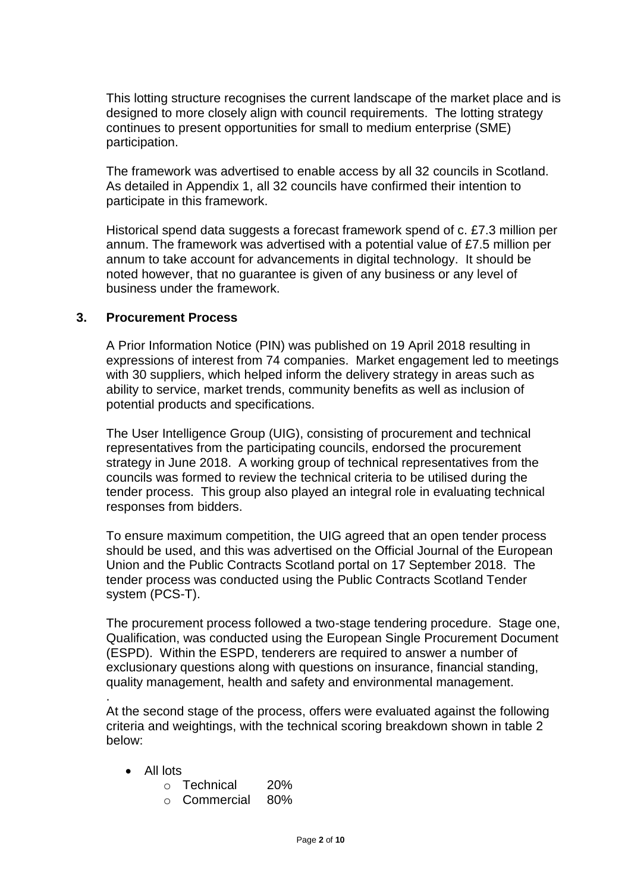This lotting structure recognises the current landscape of the market place and is designed to more closely align with council requirements. The lotting strategy continues to present opportunities for small to medium enterprise (SME) participation.

The framework was advertised to enable access by all 32 councils in Scotland. As detailed in Appendix 1, all 32 councils have confirmed their intention to participate in this framework.

Historical spend data suggests a forecast framework spend of c. £7.3 million per annum. The framework was advertised with a potential value of £7.5 million per annum to take account for advancements in digital technology. It should be noted however, that no guarantee is given of any business or any level of business under the framework.

#### **3. Procurement Process**

A Prior Information Notice (PIN) was published on 19 April 2018 resulting in expressions of interest from 74 companies. Market engagement led to meetings with 30 suppliers, which helped inform the delivery strategy in areas such as ability to service, market trends, community benefits as well as inclusion of potential products and specifications.

The User Intelligence Group (UIG), consisting of procurement and technical representatives from the participating councils, endorsed the procurement strategy in June 2018. A working group of technical representatives from the councils was formed to review the technical criteria to be utilised during the tender process. This group also played an integral role in evaluating technical responses from bidders.

To ensure maximum competition, the UIG agreed that an open tender process should be used, and this was advertised on the Official Journal of the European Union and the Public Contracts Scotland portal on 17 September 2018. The tender process was conducted using the Public Contracts Scotland Tender system (PCS-T).

The procurement process followed a two-stage tendering procedure. Stage one, Qualification, was conducted using the European Single Procurement Document (ESPD). Within the ESPD, tenderers are required to answer a number of exclusionary questions along with questions on insurance, financial standing, quality management, health and safety and environmental management.

At the second stage of the process, offers were evaluated against the following criteria and weightings, with the technical scoring breakdown shown in table 2 below:

• All lots

.

- o Technical 20%
- o Commercial 80%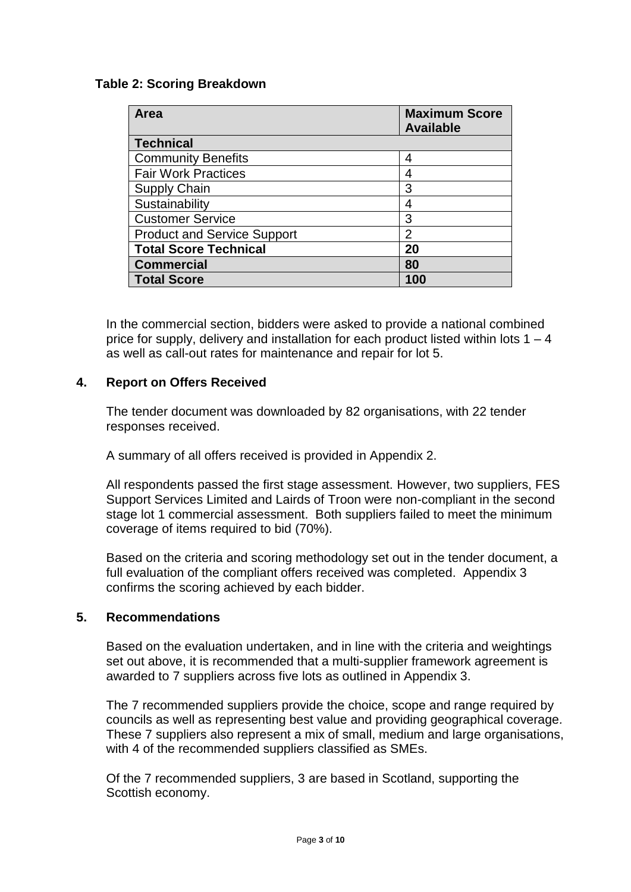### **Table 2: Scoring Breakdown**

| Area                               | <b>Maximum Score</b><br><b>Available</b> |
|------------------------------------|------------------------------------------|
| <b>Technical</b>                   |                                          |
| <b>Community Benefits</b>          | 4                                        |
| <b>Fair Work Practices</b>         | 4                                        |
| <b>Supply Chain</b>                | 3                                        |
| Sustainability                     | 4                                        |
| <b>Customer Service</b>            | 3                                        |
| <b>Product and Service Support</b> | $\overline{2}$                           |
| <b>Total Score Technical</b>       | 20                                       |
| <b>Commercial</b>                  | 80                                       |
| <b>Total Score</b>                 | 100                                      |

In the commercial section, bidders were asked to provide a national combined price for supply, delivery and installation for each product listed within lots  $1 - 4$ as well as call-out rates for maintenance and repair for lot 5.

#### **4. Report on Offers Received**

The tender document was downloaded by 82 organisations, with 22 tender responses received.

A summary of all offers received is provided in Appendix 2.

All respondents passed the first stage assessment. However, two suppliers, FES Support Services Limited and Lairds of Troon were non-compliant in the second stage lot 1 commercial assessment. Both suppliers failed to meet the minimum coverage of items required to bid (70%).

Based on the criteria and scoring methodology set out in the tender document, a full evaluation of the compliant offers received was completed. Appendix 3 confirms the scoring achieved by each bidder.

#### **5. Recommendations**

Based on the evaluation undertaken, and in line with the criteria and weightings set out above, it is recommended that a multi-supplier framework agreement is awarded to 7 suppliers across five lots as outlined in Appendix 3.

The 7 recommended suppliers provide the choice, scope and range required by councils as well as representing best value and providing geographical coverage*.*  These 7 suppliers also represent a mix of small, medium and large organisations, with 4 of the recommended suppliers classified as SMEs.

Of the 7 recommended suppliers, 3 are based in Scotland, supporting the Scottish economy.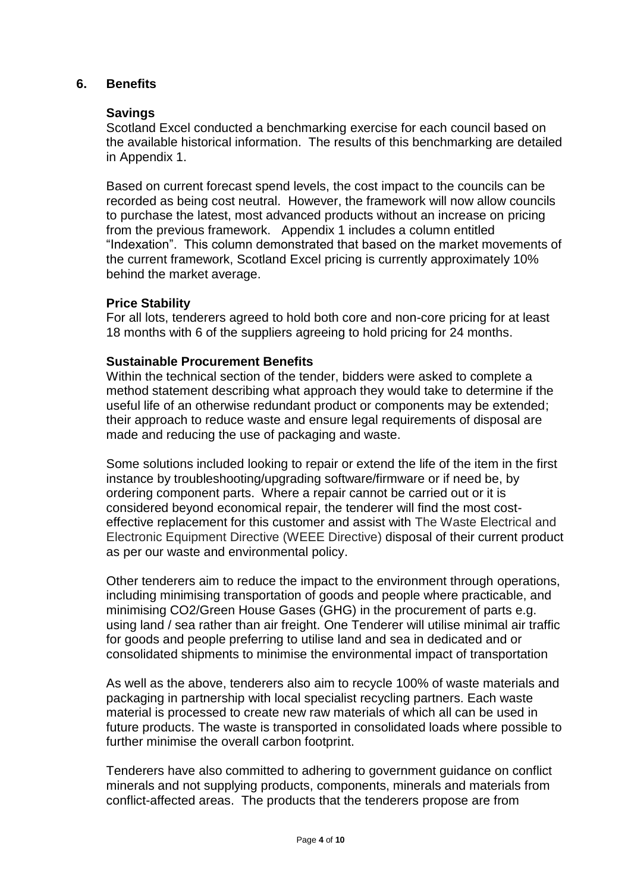#### **6. Benefits**

#### **Savings**

Scotland Excel conducted a benchmarking exercise for each council based on the available historical information. The results of this benchmarking are detailed in Appendix 1.

Based on current forecast spend levels, the cost impact to the councils can be recorded as being cost neutral. However, the framework will now allow councils to purchase the latest, most advanced products without an increase on pricing from the previous framework. Appendix 1 includes a column entitled "Indexation". This column demonstrated that based on the market movements of the current framework, Scotland Excel pricing is currently approximately 10% behind the market average.

#### **Price Stability**

For all lots, tenderers agreed to hold both core and non-core pricing for at least 18 months with 6 of the suppliers agreeing to hold pricing for 24 months.

#### **Sustainable Procurement Benefits**

Within the technical section of the tender, bidders were asked to complete a method statement describing what approach they would take to determine if the useful life of an otherwise redundant product or components may be extended; their approach to reduce waste and ensure legal requirements of disposal are made and reducing the use of packaging and waste.

Some solutions included looking to repair or extend the life of the item in the first instance by troubleshooting/upgrading software/firmware or if need be, by ordering component parts. Where a repair cannot be carried out or it is considered beyond economical repair, the tenderer will find the most costeffective replacement for this customer and assist with The Waste Electrical and Electronic Equipment Directive (WEEE Directive) disposal of their current product as per our waste and environmental policy.

Other tenderers aim to reduce the impact to the environment through operations, including minimising transportation of goods and people where practicable, and minimising CO2/Green House Gases (GHG) in the procurement of parts e.g. using land / sea rather than air freight. One Tenderer will utilise minimal air traffic for goods and people preferring to utilise land and sea in dedicated and or consolidated shipments to minimise the environmental impact of transportation

As well as the above, tenderers also aim to recycle 100% of waste materials and packaging in partnership with local specialist recycling partners. Each waste material is processed to create new raw materials of which all can be used in future products. The waste is transported in consolidated loads where possible to further minimise the overall carbon footprint.

Tenderers have also committed to adhering to government guidance on conflict minerals and not supplying products, components, minerals and materials from conflict-affected areas. The products that the tenderers propose are from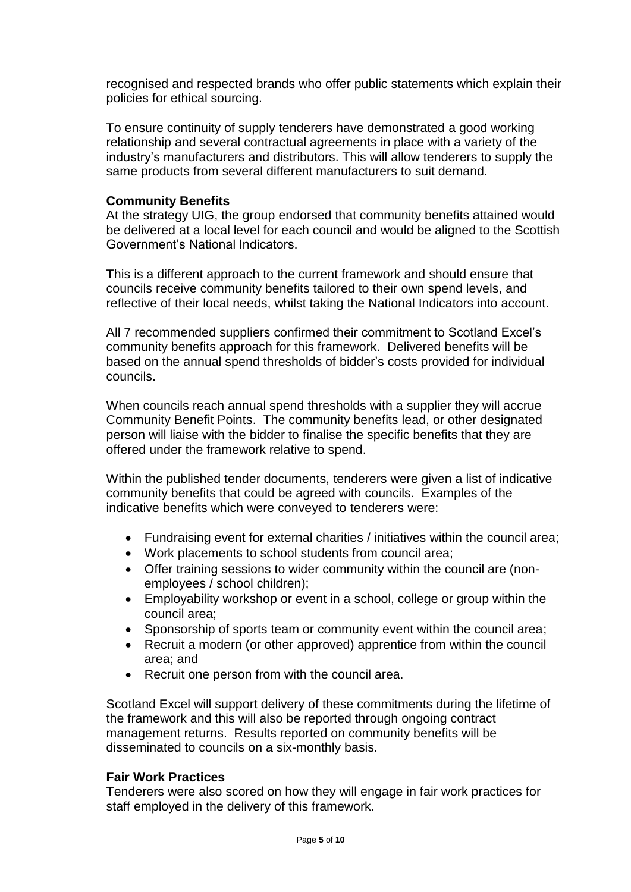recognised and respected brands who offer public statements which explain their policies for ethical sourcing.

To ensure continuity of supply tenderers have demonstrated a good working relationship and several contractual agreements in place with a variety of the industry's manufacturers and distributors. This will allow tenderers to supply the same products from several different manufacturers to suit demand.

#### **Community Benefits**

At the strategy UIG, the group endorsed that community benefits attained would be delivered at a local level for each council and would be aligned to the Scottish Government's National Indicators.

This is a different approach to the current framework and should ensure that councils receive community benefits tailored to their own spend levels, and reflective of their local needs, whilst taking the National Indicators into account.

All 7 recommended suppliers confirmed their commitment to Scotland Excel's community benefits approach for this framework. Delivered benefits will be based on the annual spend thresholds of bidder's costs provided for individual councils.

When councils reach annual spend thresholds with a supplier they will accrue Community Benefit Points. The community benefits lead, or other designated person will liaise with the bidder to finalise the specific benefits that they are offered under the framework relative to spend.

Within the published tender documents, tenderers were given a list of indicative community benefits that could be agreed with councils. Examples of the indicative benefits which were conveyed to tenderers were:

- Fundraising event for external charities / initiatives within the council area;
- Work placements to school students from council area;
- Offer training sessions to wider community within the council are (nonemployees / school children);
- Employability workshop or event in a school, college or group within the council area;
- Sponsorship of sports team or community event within the council area;
- Recruit a modern (or other approved) apprentice from within the council area; and
- Recruit one person from with the council area.

Scotland Excel will support delivery of these commitments during the lifetime of the framework and this will also be reported through ongoing contract management returns. Results reported on community benefits will be disseminated to councils on a six-monthly basis.

#### **Fair Work Practices**

Tenderers were also scored on how they will engage in fair work practices for staff employed in the delivery of this framework.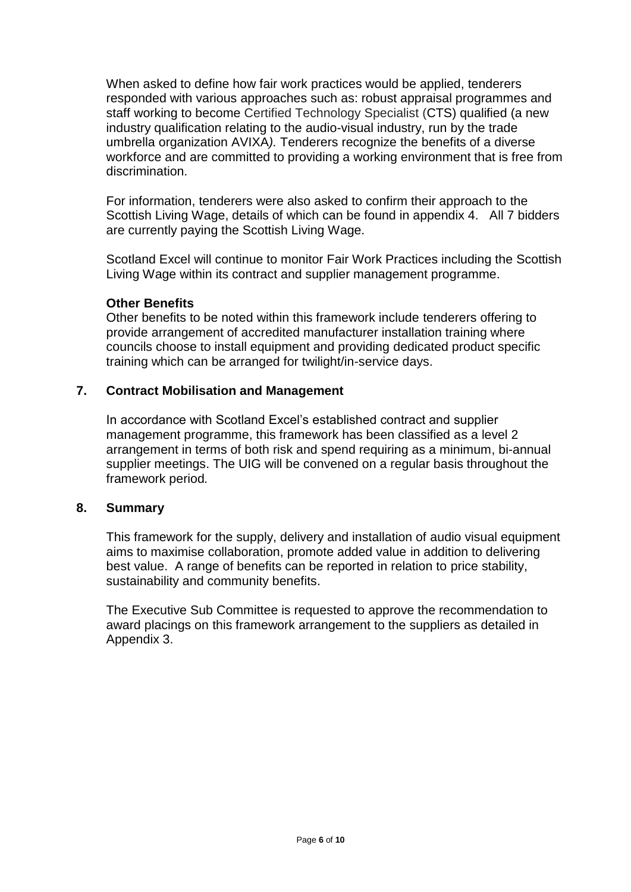When asked to define how fair work practices would be applied, tenderers responded with various approaches such as: robust appraisal programmes and staff working to become Certified Technology Specialist (CTS) qualified (a new industry qualification relating to the audio-visual industry, run by the trade umbrella organization AVIXA*).* Tenderers recognize the benefits of a diverse workforce and are committed to providing a working environment that is free from discrimination.

For information, tenderers were also asked to confirm their approach to the Scottish Living Wage, details of which can be found in appendix 4. All 7 bidders are currently paying the Scottish Living Wage.

Scotland Excel will continue to monitor Fair Work Practices including the Scottish Living Wage within its contract and supplier management programme.

#### **Other Benefits**

Other benefits to be noted within this framework include tenderers offering to provide arrangement of accredited manufacturer installation training where councils choose to install equipment and providing dedicated product specific training which can be arranged for twilight/in-service days.

#### **7. Contract Mobilisation and Management**

In accordance with Scotland Excel's established contract and supplier management programme, this framework has been classified as a level 2 arrangement in terms of both risk and spend requiring as a minimum, bi-annual supplier meetings. The UIG will be convened on a regular basis throughout the framework period*.* 

#### **8. Summary**

This framework for the supply, delivery and installation of audio visual equipment aims to maximise collaboration, promote added value in addition to delivering best value. A range of benefits can be reported in relation to price stability, sustainability and community benefits.

The Executive Sub Committee is requested to approve the recommendation to award placings on this framework arrangement to the suppliers as detailed in Appendix 3.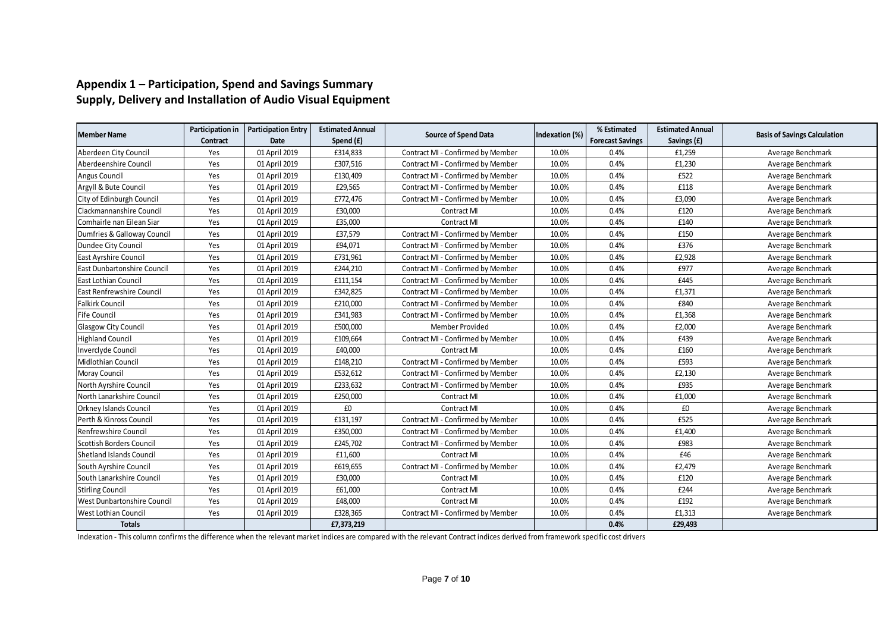#### **Appendix 1 – Participation, Spend and Savings Summary Supply, Delivery and Installation of Audio Visual Equipment**

|                                    | Participation in | <b>Participation Entry</b> | <b>Estimated Annual</b> |                                   |                | % Estimated             | <b>Estimated Annual</b> |                                     |  |
|------------------------------------|------------------|----------------------------|-------------------------|-----------------------------------|----------------|-------------------------|-------------------------|-------------------------------------|--|
| <b>Member Name</b>                 | <b>Contract</b>  | Date                       | Spend (£)               | <b>Source of Spend Data</b>       | Indexation (%) | <b>Forecast Savings</b> | Savings (£)             | <b>Basis of Savings Calculation</b> |  |
| Aberdeen City Council              | Yes              | 01 April 2019              | £314,833                | Contract MI - Confirmed by Member | 10.0%          | 0.4%                    | £1,259                  | Average Benchmark                   |  |
| Aberdeenshire Council              | Yes              | 01 April 2019              | £307,516                | Contract MI - Confirmed by Member | 10.0%          | 0.4%                    | £1,230                  | Average Benchmark                   |  |
| Angus Council                      | Yes              | 01 April 2019              | £130,409                | Contract MI - Confirmed by Member | 10.0%          | 0.4%                    | £522                    | Average Benchmark                   |  |
| Argyll & Bute Council              | Yes              | 01 April 2019              | £29,565                 | Contract MI - Confirmed by Member | 10.0%          | 0.4%                    | £118                    | Average Benchmark                   |  |
| City of Edinburgh Council          | Yes              | 01 April 2019              | £772,476                | Contract MI - Confirmed by Member | 10.0%          | 0.4%                    | £3,090                  | Average Benchmark                   |  |
| Clackmannanshire Council           | Yes              | 01 April 2019              | £30,000                 | <b>Contract MI</b>                | 10.0%          | 0.4%                    | £120                    | Average Benchmark                   |  |
| Comhairle nan Eilean Siar          | Yes              | 01 April 2019              | £35,000                 | <b>Contract MI</b>                | 10.0%          | 0.4%                    | £140                    | Average Benchmark                   |  |
| Dumfries & Galloway Council        | Yes              | 01 April 2019              | £37,579                 | Contract MI - Confirmed by Member | 10.0%          | 0.4%                    | £150                    | Average Benchmark                   |  |
| Dundee City Council                | Yes              | 01 April 2019              | £94,071                 | Contract MI - Confirmed by Member | 10.0%          | 0.4%                    | £376                    | Average Benchmark                   |  |
| <b>East Ayrshire Council</b>       | Yes              | 01 April 2019              | £731,961                | Contract MI - Confirmed by Member | 10.0%          | 0.4%                    | £2,928                  | Average Benchmark                   |  |
| East Dunbartonshire Council        | Yes              | 01 April 2019              | £244,210                | Contract MI - Confirmed by Member | 10.0%          | 0.4%                    | £977                    | Average Benchmark                   |  |
| East Lothian Council               | Yes              | 01 April 2019              | £111,154                | Contract MI - Confirmed by Member | 10.0%          | 0.4%                    | £445                    | Average Benchmark                   |  |
| <b>East Renfrewshire Council</b>   | Yes              | 01 April 2019              | £342,825                | Contract MI - Confirmed by Member | 10.0%          | 0.4%                    | £1,371                  | Average Benchmark                   |  |
| <b>Falkirk Council</b>             | Yes              | 01 April 2019              | £210,000                | Contract MI - Confirmed by Member | 10.0%          | 0.4%                    | £840                    | Average Benchmark                   |  |
| Fife Council                       | Yes              | 01 April 2019              | £341,983                | Contract MI - Confirmed by Member | 10.0%          | 0.4%                    | £1,368                  | Average Benchmark                   |  |
| <b>Glasgow City Council</b>        | Yes              | 01 April 2019              | £500,000                | Member Provided                   | 10.0%          | 0.4%                    | £2,000                  | Average Benchmark                   |  |
| <b>Highland Council</b>            | Yes              | 01 April 2019              | £109,664                | Contract MI - Confirmed by Member | 10.0%          | 0.4%                    | £439                    | Average Benchmark                   |  |
| Inverclyde Council                 | Yes              | 01 April 2019              | £40,000                 | Contract MI                       | 10.0%          | 0.4%                    | £160                    | Average Benchmark                   |  |
| Midlothian Council                 | Yes              | 01 April 2019              | £148,210                | Contract MI - Confirmed by Member | 10.0%          | 0.4%                    | £593                    | Average Benchmark                   |  |
| Moray Council                      | Yes              | 01 April 2019              | £532,612                | Contract MI - Confirmed by Member | 10.0%          | 0.4%                    | £2,130                  | Average Benchmark                   |  |
| North Ayrshire Council             | Yes              | 01 April 2019              | £233,632                | Contract MI - Confirmed by Member | 10.0%          | 0.4%                    | £935                    | Average Benchmark                   |  |
| North Lanarkshire Council          | Yes              | 01 April 2019              | £250,000                | <b>Contract MI</b>                | 10.0%          | 0.4%                    | £1,000                  | Average Benchmark                   |  |
| <b>Orkney Islands Council</b>      | Yes              | 01 April 2019              | £0                      | <b>Contract MI</b>                | 10.0%          | 0.4%                    | £0                      | Average Benchmark                   |  |
| Perth & Kinross Council            | Yes              | 01 April 2019              | £131,197                | Contract MI - Confirmed by Member | 10.0%          | 0.4%                    | £525                    | Average Benchmark                   |  |
| Renfrewshire Council               | Yes              | 01 April 2019              | £350,000                | Contract MI - Confirmed by Member | 10.0%          | 0.4%                    | £1,400                  | Average Benchmark                   |  |
| Scottish Borders Council           | Yes              | 01 April 2019              | £245,702                | Contract MI - Confirmed by Member | 10.0%          | 0.4%                    | £983                    | Average Benchmark                   |  |
| <b>Shetland Islands Council</b>    | Yes              | 01 April 2019              | £11,600                 | <b>Contract MI</b>                | 10.0%          | 0.4%                    | £46                     | Average Benchmark                   |  |
| South Ayrshire Council             | Yes              | 01 April 2019              | £619,655                | Contract MI - Confirmed by Member | 10.0%          | 0.4%                    | £2,479                  | Average Benchmark                   |  |
| South Lanarkshire Council          | Yes              | 01 April 2019              | £30,000                 | <b>Contract MI</b>                | 10.0%          | 0.4%                    | £120                    | Average Benchmark                   |  |
| <b>Stirling Council</b>            | Yes              | 01 April 2019              | £61,000                 | <b>Contract MI</b>                | 10.0%          | 0.4%                    | £244                    | Average Benchmark                   |  |
| <b>West Dunbartonshire Council</b> | Yes              | 01 April 2019              | £48,000                 | <b>Contract MI</b>                | 10.0%          | 0.4%                    | £192                    | Average Benchmark                   |  |
| <b>West Lothian Council</b>        | Yes              | 01 April 2019              | £328,365                | Contract MI - Confirmed by Member | 10.0%          | 0.4%                    | £1,313                  | Average Benchmark                   |  |
| <b>Totals</b>                      |                  |                            | £7,373,219              |                                   |                | 0.4%                    | £29,493                 |                                     |  |

Indexation - This column confirms the difference when the relevant market indices are compared with the relevant Contract indices derived from framework specific cost drivers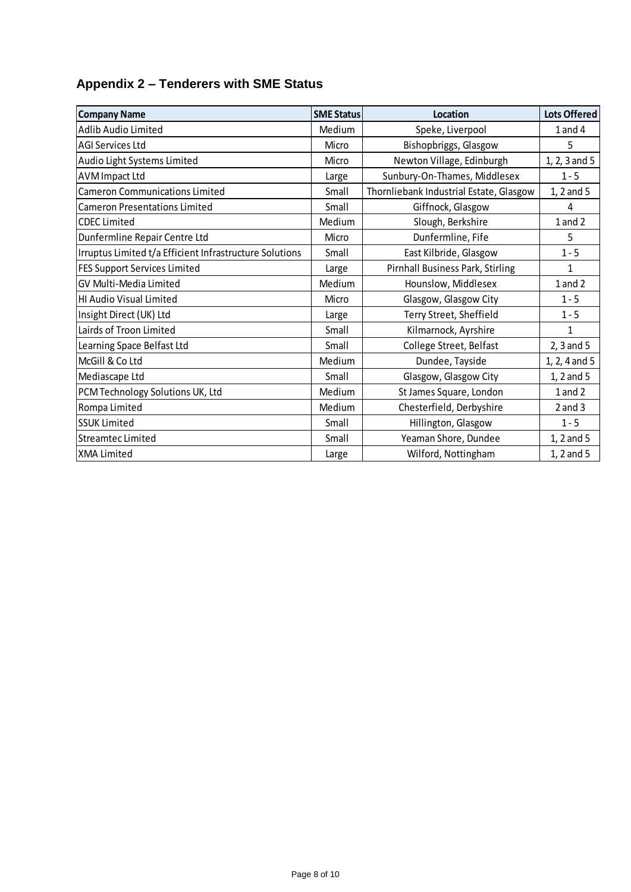## **Appendix 2 – Tenderers with SME Status**

| <b>Company Name</b>                                     | <b>SME Status</b> | Location                                | <b>Lots Offered</b> |
|---------------------------------------------------------|-------------------|-----------------------------------------|---------------------|
| Adlib Audio Limited                                     | Medium            | Speke, Liverpool                        | $1$ and $4$         |
| <b>AGI Services Ltd</b>                                 | Micro             | Bishopbriggs, Glasgow                   | 5                   |
| Audio Light Systems Limited                             | Micro             | Newton Village, Edinburgh               | 1, 2, 3 and 5       |
| <b>AVM Impact Ltd</b>                                   | Large             | Sunbury-On-Thames, Middlesex            | $1 - 5$             |
| <b>Cameron Communications Limited</b>                   | Small             | Thornliebank Industrial Estate, Glasgow | 1, 2 and 5          |
| <b>Cameron Presentations Limited</b>                    | Small             | Giffnock, Glasgow                       | 4                   |
| <b>CDEC Limited</b>                                     | Medium            | Slough, Berkshire                       | $1$ and $2$         |
| Dunfermline Repair Centre Ltd                           | Micro             | Dunfermline, Fife                       | 5                   |
| Irruptus Limited t/a Efficient Infrastructure Solutions | Small             | East Kilbride, Glasgow                  | $1 - 5$             |
| <b>FES Support Services Limited</b>                     | Large             | <b>Pirnhall Business Park, Stirling</b> | $\mathbf{1}$        |
| GV Multi-Media Limited                                  | Medium            | Hounslow, Middlesex                     | $1$ and $2$         |
| HI Audio Visual Limited                                 | Micro             | Glasgow, Glasgow City                   | $1 - 5$             |
| Insight Direct (UK) Ltd                                 | Large             | Terry Street, Sheffield                 | $1 - 5$             |
| Lairds of Troon Limited                                 | Small             | Kilmarnock, Ayrshire                    | 1                   |
| Learning Space Belfast Ltd                              | Small             | College Street, Belfast                 | $2, 3$ and 5        |
| McGill & Co Ltd                                         | Medium            | Dundee, Tayside                         | 1, 2, 4 and 5       |
| Mediascape Ltd                                          | Small             | Glasgow, Glasgow City                   | 1, 2 and 5          |
| PCM Technology Solutions UK, Ltd                        | Medium            | St James Square, London                 | $1$ and $2$         |
| Rompa Limited                                           | Medium            | Chesterfield, Derbyshire                | $2$ and $3$         |
| <b>SSUK Limited</b>                                     | Small             | Hillington, Glasgow                     | $1 - 5$             |
| <b>Streamtec Limited</b>                                | Small             | Yeaman Shore, Dundee                    | 1, 2 and 5          |
| <b>XMA Limited</b>                                      | Large             | Wilford, Nottingham                     | 1, 2 and 5          |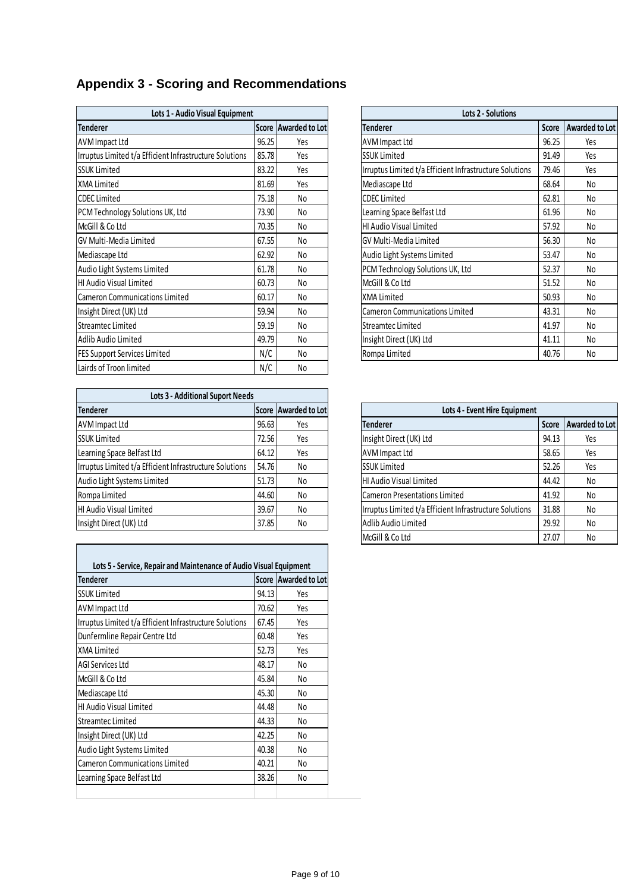# **Appendix 3 - Scoring and Recommendations**

| Lots 1 - Audio Visual Equipment                         |       |                      | <b>Lots 2 - Solutions</b>                               |       |  |
|---------------------------------------------------------|-------|----------------------|---------------------------------------------------------|-------|--|
| <b>Tenderer</b>                                         |       | Score Awarded to Lot | <b>Tenderer</b>                                         | Score |  |
| <b>AVM Impact Ltd</b>                                   | 96.25 | Yes                  | <b>AVM Impact Ltd</b>                                   | 96.25 |  |
| Irruptus Limited t/a Efficient Infrastructure Solutions | 85.78 | Yes                  | <b>SSUK Limited</b>                                     | 91.49 |  |
| <b>SSUK Limited</b>                                     | 83.22 | Yes                  | Irruptus Limited t/a Efficient Infrastructure Solutions | 79.46 |  |
| <b>XMA Limited</b>                                      | 81.69 | Yes                  | Mediascape Ltd                                          | 68.64 |  |
| <b>CDEC</b> Limited                                     | 75.18 | No                   | <b>CDEC</b> Limited                                     | 62.81 |  |
| PCM Technology Solutions UK, Ltd                        | 73.90 | No                   | Learning Space Belfast Ltd                              | 61.96 |  |
| McGill & Co Ltd                                         | 70.35 | No                   | HI Audio Visual Limited                                 | 57.92 |  |
| GV Multi-Media Limited                                  | 67.55 | No                   | <b>GV Multi-Media Limited</b>                           | 56.30 |  |
| Mediascape Ltd                                          | 62.92 | No                   | Audio Light Systems Limited                             | 53.47 |  |
| Audio Light Systems Limited                             | 61.78 | No                   | PCM Technology Solutions UK, Ltd                        | 52.37 |  |
| HI Audio Visual Limited                                 | 60.73 | No                   | McGill & Co Ltd                                         | 51.52 |  |
| Cameron Communications Limited                          | 60.17 | No                   | XMA Limited                                             | 50.93 |  |
| Insight Direct (UK) Ltd                                 | 59.94 | No                   | Cameron Communications Limited                          | 43.31 |  |
| Streamtec Limited                                       | 59.19 | No                   | Streamtec Limited                                       | 41.97 |  |
| Adlib Audio Limited                                     | 49.79 | No                   | Insight Direct (UK) Ltd                                 | 41.11 |  |
| <b>FES Support Services Limited</b>                     | N/C   | No                   | Rompa Limited                                           | 40.76 |  |
| Lairds of Troon limited                                 | N/C   | No                   |                                                         |       |  |

| <b>Lots 3 - Additional Suport Needs</b>                 |       |     |  |  |
|---------------------------------------------------------|-------|-----|--|--|
| <b>Tenderer</b><br>Score Awarded to Lot                 |       |     |  |  |
| <b>AVM Impact Ltd</b>                                   | 96.63 | Yes |  |  |
| <b>SSUK Limited</b>                                     | 72.56 | Yes |  |  |
| Learning Space Belfast Ltd                              | 64.12 | Yes |  |  |
| Irruptus Limited t/a Efficient Infrastructure Solutions | 54.76 | No  |  |  |
| Audio Light Systems Limited                             | 51.73 | No  |  |  |
| Rompa Limited                                           | 44.60 | No  |  |  |
| HI Audio Visual Limited                                 | 39.67 | No  |  |  |
| Insight Direct (UK) Ltd                                 | 37.85 | No  |  |  |

| Lots 5 - Service, Repair and Maintenance of Audio Visual Equipment |              |                |  |  |  |  |  |  |
|--------------------------------------------------------------------|--------------|----------------|--|--|--|--|--|--|
| Tenderer                                                           | <b>Score</b> | Awarded to Lot |  |  |  |  |  |  |
| <b>SSUK Limited</b>                                                | 94.13        | Yes            |  |  |  |  |  |  |
| AVM Impact Ltd                                                     | 70.62        | Yes            |  |  |  |  |  |  |
| Irruptus Limited t/a Efficient Infrastructure Solutions            | 67.45        | Yes            |  |  |  |  |  |  |
| Dunfermline Repair Centre Ltd                                      | 60.48        | Yes            |  |  |  |  |  |  |
| XMA Limited                                                        | 52.73        | Yes            |  |  |  |  |  |  |
| AGI Services Ltd                                                   | 48.17        | No             |  |  |  |  |  |  |
| McGill & Co Ltd                                                    | 45.84        | No             |  |  |  |  |  |  |
| Mediascape Ltd                                                     | 45.30        | No             |  |  |  |  |  |  |
| HI Audio Visual Limited                                            | 44.48        | No             |  |  |  |  |  |  |
| Streamtec Limited                                                  | 44.33        | No             |  |  |  |  |  |  |
| Insight Direct (UK) Ltd                                            | 42.25        | No             |  |  |  |  |  |  |
| Audio Light Systems Limited                                        | 40.38        | No             |  |  |  |  |  |  |
| Cameron Communications Limited                                     | 40.21        | No             |  |  |  |  |  |  |
| Learning Space Belfast Ltd                                         | 38.26        | No             |  |  |  |  |  |  |
|                                                                    |              |                |  |  |  |  |  |  |

| Lots 1 - Audio Visual Equipment                         |       |                             | <b>Lots 2 - Solutions</b>                               |              |                |  |
|---------------------------------------------------------|-------|-----------------------------|---------------------------------------------------------|--------------|----------------|--|
| Tenderer                                                |       | <b>Score Awarded to Lot</b> | <b>Tenderer</b>                                         | <b>Score</b> | Awarded to Lot |  |
| AVM Impact Ltd                                          | 96.25 | Yes                         | AVM Impact Ltd                                          | 96.25        | Yes            |  |
| Irruptus Limited t/a Efficient Infrastructure Solutions | 85.78 | Yes                         | <b>SSUK Limited</b>                                     | 91.49        | Yes            |  |
| SSUK Limited                                            | 83.22 | Yes                         | Irruptus Limited t/a Efficient Infrastructure Solutions | 79.46        | Yes            |  |
| XMA Limited                                             | 81.69 | Yes                         | Mediascape Ltd                                          | 68.64        | No             |  |
| <b>CDEC Limited</b>                                     | 75.18 | No                          | <b>CDEC</b> Limited                                     | 62.81        | No             |  |
| PCM Technology Solutions UK, Ltd                        | 73.90 | No                          | Learning Space Belfast Ltd                              | 61.96        | No             |  |
| McGill & Co Ltd                                         | 70.35 | No                          | HI Audio Visual Limited                                 | 57.92        | No             |  |
| GV Multi-Media Limited                                  | 67.55 | No                          | GV Multi-Media Limited                                  | 56.30        | No             |  |
| Mediascape Ltd                                          | 62.92 | No                          | Audio Light Systems Limited                             | 53.47        | No             |  |
| Audio Light Systems Limited                             | 61.78 | No                          | PCM Technology Solutions UK, Ltd                        | 52.37        | No             |  |
| HI Audio Visual Limited                                 | 60.73 | No                          | McGill & Co Ltd                                         | 51.52        | No             |  |
| Cameron Communications Limited                          | 60.17 | No                          | XMA Limited                                             | 50.93        | No             |  |
| Insight Direct (UK) Ltd                                 | 59.94 | No                          | <b>Cameron Communications Limited</b>                   | 43.31        | No             |  |
| Streamtec Limited                                       | 59.19 | No                          | Streamtec Limited                                       | 41.97        | No             |  |
| Adlib Audio Limited                                     | 49.79 | No                          | Insight Direct (UK) Ltd                                 | 41.11        | No             |  |
| FES Support Services Limited                            | N/C   | No                          | Rompa Limited                                           | 40.76        | No             |  |

| <b>Tenderer</b>                                         |       | Score Awarded to Lot | Lots 4 - Event Hire Equipment |                                                         |              |                |
|---------------------------------------------------------|-------|----------------------|-------------------------------|---------------------------------------------------------|--------------|----------------|
| AVM Impact Ltd                                          | 96.63 | Yes                  |                               | <b>Tenderer</b>                                         | <b>Score</b> | Awarded to Lot |
| SSUK Limited                                            | 72.56 | Yes                  |                               | Insight Direct (UK) Ltd                                 | 94.13        | Yes            |
| Learning Space Belfast Ltd                              | 64.12 | Yes                  |                               | <b>AVM</b> Impact Ltd                                   | 58.65        | Yes            |
| Irruptus Limited t/a Efficient Infrastructure Solutions | 54.76 | No                   |                               | <b>SSUK Limited</b>                                     | 52.26        | Yes            |
| Audio Light Systems Limited                             | 51.73 | No                   |                               | HI Audio Visual Limited                                 | 44.42        | No             |
| Rompa Limited                                           | 44.60 | No                   |                               | <b>Cameron Presentations Limited</b>                    | 41.92        | No             |
| HI Audio Visual Limited                                 | 39.67 | No                   |                               | Irruptus Limited t/a Efficient Infrastructure Solutions | 31.88        | No             |
| Insight Direct (UK) Ltd                                 | 37.85 | No                   |                               | Adlib Audio Limited                                     | 29.92        | No             |
|                                                         |       |                      |                               | McGill & Co Ltd                                         | 27.07        | No             |
|                                                         |       |                      |                               |                                                         |              |                |
|                                                         |       |                      |                               |                                                         |              |                |